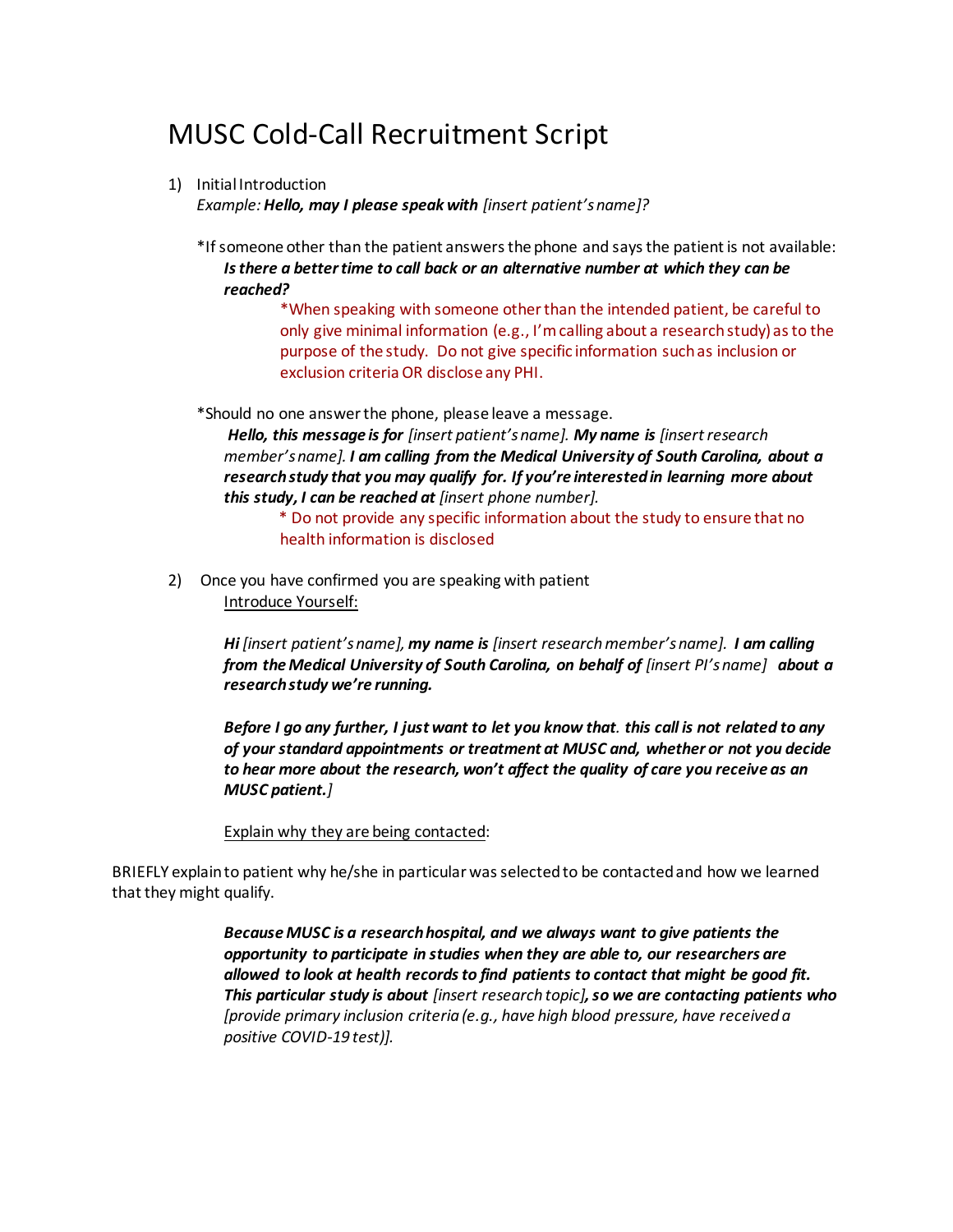## MUSC Cold-Call Recruitment Script

1) Initial Introduction

*Example: Hello, may I please speak with [insert patient's name]?*

\*If someone other than the patient answers the phone and says the patient is not available: *Is there a better time to call back or an alternative number at which they can be reached?*

> \*When speaking with someone other than the intended patient, be careful to only give minimal information (e.g., I'm calling about a research study) as to the purpose of the study. Do not give specific information such as inclusion or exclusion criteria OR disclose any PHI.

\*Should no one answer the phone, please leave a message.

*Hello, this message is for [insert patient's name]. My name is [insert research member's name]. I am calling from the Medical University of South Carolina, about a research study that you may qualify for. If you're interested in learning more about this study, I can be reached at [insert phone number].* 

\* Do not provide any specific information about the study to ensure that no health information is disclosed

2) Once you have confirmed you are speaking with patient Introduce Yourself:

> *Hi [insert patient's name], my name is [insert research member's name]. I am calling from the Medical University of South Carolina, on behalf of [insert PI's name]* about a *research study we're running.*

> *Before I go any further, I just want to let you know that. this call is not related to any of your standard appointments or treatment at MUSC and, whether or not you decide to hear more about the research, won't affect the quality of care you receive as an MUSC patient.]*

Explain why they are being contacted:

BRIEFLY explain to patient why he/she in particular was selected to be contacted and how we learned that they might qualify.

> *Because MUSC is a research hospital, and we always want to give patients the opportunity to participate in studies when they are able to, our researchers are allowed to look at health records to find patients to contact that might be good fit. This particular study is about [insert research topic], so we are contacting patients who [provide primary inclusion criteria (e.g., have high blood pressure, have received a positive COVID-19 test)].*